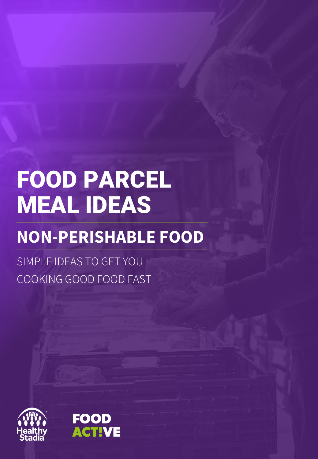# FOOD PARCEL MEAL IDEAS

## **NON-PERISHABLE FOOD**

SIMPLE IDEAS TO GET YOU COOKING GOOD FOOD FAST



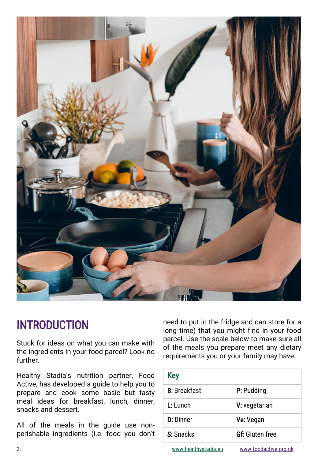

### INTRODUCTION

Stuck for ideas on what you can make with the ingredients in your food parcel? Look no further.

need to put in the fridge and can store for a long time) that you might find in your food parcel. Use the scale below to make sure all of the meals you prepare meet any dietary requirements you or your family may have.

| Healthy Stadia's nutrition partner, Food<br>Active, has developed a guide to help you to<br>prepare and cook some basic but tasty<br>meal ideas for breakfast, lunch, dinner,<br>snacks and dessert. | <b>Key</b>           |                        |
|------------------------------------------------------------------------------------------------------------------------------------------------------------------------------------------------------|----------------------|------------------------|
|                                                                                                                                                                                                      | <b>B:</b> Breakfast  | P: Pudding             |
|                                                                                                                                                                                                      | L: Lunch             | V: vegetarian          |
| All of the meals in the guide use non-<br>perishable ingredients (i.e. food you don't                                                                                                                | <b>D:</b> Dinner     | Ve: Vegan              |
|                                                                                                                                                                                                      | S: Snacks            | <b>Gf:</b> Gluten free |
| $\overline{2}$                                                                                                                                                                                       | www.healthystadia.eu | www.foodactive.org.uk  |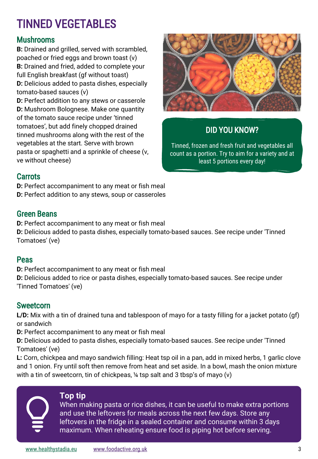### TINNED VEGETABLES

### Mushrooms

**B:** Drained and grilled, served with scrambled, poached or fried eggs and brown toast (v) **B:** Drained and fried, added to complete your full English breakfast (gf without toast) **D:** Delicious added to pasta dishes, especially tomato-based sauces (v)

**D:** Perfect addition to any stews or casserole **D:** Mushroom Bolognese. Make one quantity of the tomato sauce recipe under 'tinned tomatoes', but add finely chopped drained tinned mushrooms along with the rest of the vegetables at the start. Serve with brown pasta or spaghetti and a sprinkle of cheese (v, ve without cheese)



### DID YOU KNOW?

Tinned, frozen and fresh fruit and vegetables all count as a portion. Try to aim for a variety and at least 5 portions every day!

#### **Carrots**

**D:** Perfect accompaniment to any meat or fish meal **D:** Perfect addition to any stews, soup or casseroles

#### Green Beans

**D:** Perfect accompaniment to any meat or fish meal

**D:** Delicious added to pasta dishes, especially tomato-based sauces. See recipe under 'Tinned Tomatoes' (ve)

#### Peas

**D:** Perfect accompaniment to any meat or fish meal

**D:** Delicious added to rice or pasta dishes, especially tomato-based sauces. See recipe under 'Tinned Tomatoes' (ve)

### **Sweetcorn**

**L/D:** Mix with a tin of drained tuna and tablespoon of mayo for a tasty filling for a jacket potato (gf) or sandwich

**D:** Perfect accompaniment to any meat or fish meal

**D:** Delicious added to pasta dishes, especially tomato-based sauces. See recipe under 'Tinned Tomatoes' (ve)

**L:** Corn, chickpea and mayo sandwich filling: Heat tsp oil in a pan, add in mixed herbs, 1 garlic clove and 1 onion. Fry until soft then remove from heat and set aside. In a bowl, mash the onion mixture with a tin of sweetcorn, tin of chickpeas, ¼ tsp salt and 3 tbsp's of mayo (v)

#### **Top tip**

When making pasta or rice dishes, it can be useful to make extra portions and use the leftovers for meals across the next few days. Store any leftovers in the fridge in a sealed container and consume within 3 days maximum. When reheating ensure food is piping hot before serving.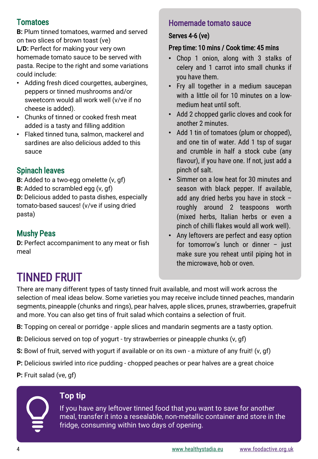### **Tomatoes**

**B:** Plum tinned tomatoes, warmed and served on two slices of brown toast (ve) **L/D:** Perfect for making your very own homemade tomato sauce to be served with pasta. Recipe to the right and some variations could include:

- Adding fresh diced courgettes, aubergines, peppers or tinned mushrooms and/or sweetcorn would all work well (v/ve if no cheese is added).
- Chunks of tinned or cooked fresh meat added is a tasty and filling addition
- Flaked tinned tuna, salmon, mackerel and sardines are also delicious added to this sauce

### Spinach leaves

**B:** Added to a two-egg omelette (v, gf) **B:** Added to scrambled egg (v, gf) **D:** Delicious added to pasta dishes, especially tomato-based sauces! (v/ve if using dried pasta)

### Mushy Peas

**D:** Perfect accompaniment to any meat or fish meal

### Homemade tomato sauce

#### Serves 4-6 (ve)

#### Prep time: 10 mins / Cook time: 45 mins

- Chop 1 onion, along with 3 stalks of celery and 1 carrot into small chunks if you have them.
- Fry all together in a medium saucepan with a little oil for 10 minutes on a lowmedium heat until soft.
- Add 2 chopped garlic cloves and cook for another 2 minutes.
- Add 1 tin of tomatoes (plum or chopped), and one tin of water. Add 1 tsp of sugar and crumble in half a stock cube (any flavour), if you have one. If not, just add a pinch of salt.
- Simmer on a low heat for 30 minutes and season with black pepper. If available, add any dried herbs you have in stock – roughly around 2 teaspoons worth (mixed herbs, Italian herbs or even a pinch of chilli flakes would all work well).
- Any leftovers are perfect and easy option for tomorrow's lunch or dinner – just make sure you reheat until piping hot in the microwave, hob or oven.

### TINNED FRUIT

There are many different types of tasty tinned fruit available, and most will work across the selection of meal ideas below. Some varieties you may receive include tinned peaches, mandarin segments, pineapple (chunks and rings), pear halves, apple slices, prunes, strawberries, grapefruit and more. You can also get tins of fruit salad which contains a selection of fruit.

- **B:** Topping on cereal or porridge apple slices and mandarin segments are a tasty option.
- **B:** Delicious served on top of yogurt try strawberries or pineapple chunks (v, gf)
- **S:** Bowl of fruit, served with yogurt if available or on its own a mixture of any fruit! (v, gf)
- **P:** Delicious swirled into rice pudding chopped peaches or pear halves are a great choice
- **P:** Fruit salad (ve, gf)

#### **Top tip**

If you have any leftover tinned food that you want to save for another meal, transfer it into a resealable, non-metallic container and store in the fridge, consuming within two days of opening.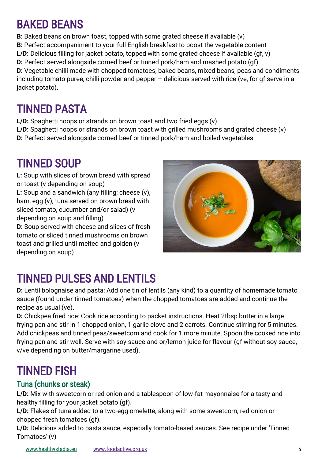### BAKED BEANS

**B:** Baked beans on brown toast, topped with some grated cheese if available (v) **B:** Perfect accompaniment to your full English breakfast to boost the vegetable content **L/D:** Delicious filling for jacket potato, topped with some grated cheese if available (gf, v) **D:** Perfect served alongside corned beef or tinned pork/ham and mashed potato (gf) **D:** Vegetable chilli made with chopped tomatoes, baked beans, mixed beans, peas and condiments including tomato puree, chilli powder and pepper – delicious served with rice (ve, for gf serve in a jacket potato).

### TINNED PASTA

**L/D:** Spaghetti hoops or strands on brown toast and two fried eggs (v) **L/D:** Spaghetti hoops or strands on brown toast with grilled mushrooms and grated cheese (v) **D:** Perfect served alongside corned beef or tinned pork/ham and boiled vegetables

### TINNED SOUP

**L:** Soup with slices of brown bread with spread or toast (v depending on soup)

**L:** Soup and a sandwich (any filling; cheese (v), ham, egg (v), tuna served on brown bread with sliced tomato, cucumber and/or salad) (v depending on soup and filling)

**D:** Soup served with cheese and slices of fresh tomato or sliced tinned mushrooms on brown toast and grilled until melted and golden (v depending on soup)



### TINNED PULSES AND LENTILS

**D:** Lentil bolognaise and pasta: Add one tin of lentils (any kind) to a quantity of homemade tomato sauce (found under tinned tomatoes) when the chopped tomatoes are added and continue the recipe as usual (ve).

**D:** Chickpea fried rice: Cook rice according to packet instructions. Heat 2tbsp butter in a large frying pan and stir in 1 chopped onion, 1 garlic clove and 2 carrots. Continue stirring for 5 minutes. Add chickpeas and tinned peas/sweetcorn and cook for 1 more minute. Spoon the cooked rice into frying pan and stir well. Serve with soy sauce and or/lemon juice for flavour (gf without soy sauce, v/ve depending on butter/margarine used).

### TINNED FISH

### Tuna (chunks or steak)

**L/D:** Mix with sweetcorn or red onion and a tablespoon of low-fat mayonnaise for a tasty and healthy filling for your jacket potato (gf).

**L/D:** Flakes of tuna added to a two-egg omelette, along with some sweetcorn, red onion or chopped fresh tomatoes (gf).

**L/D:** Delicious added to pasta sauce, especially tomato-based sauces. See recipe under 'Tinned Tomatoes' (v)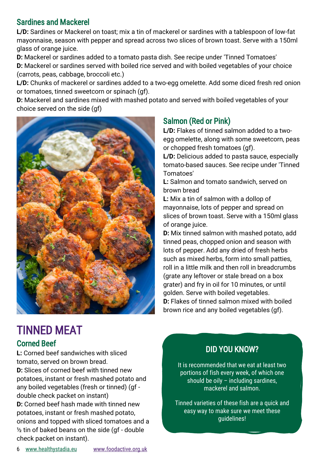### Sardines and Mackerel

**L/D:** Sardines or Mackerel on toast; mix a tin of mackerel or sardines with a tablespoon of low-fat mayonnaise, season with pepper and spread across two slices of brown toast. Serve with a 150ml glass of orange juice.

**D:** Mackerel or sardines added to a tomato pasta dish. See recipe under 'Tinned Tomatoes' **D:** Mackerel or sardines served with boiled rice served and with boiled vegetables of your choice (carrots, peas, cabbage, broccoli etc.)

**L/D:** Chunks of mackerel or sardines added to a two-egg omelette. Add some diced fresh red onion or tomatoes, tinned sweetcorn or spinach (gf).

**D:** Mackerel and sardines mixed with mashed potato and served with boiled vegetables of your choice served on the side (gf)



### Salmon (Red or Pink)

**L/D:** Flakes of tinned salmon added to a twoegg omelette, along with some sweetcorn, peas or chopped fresh tomatoes (gf).

L/D: Delicious added to pasta sauce, especially tomato-based sauces. See recipe under 'Tinned Tomatoes'

**L:** Salmon and tomato sandwich, served on brown bread

**L:** Mix a tin of salmon with a dollop of mayonnaise, lots of pepper and spread on slices of brown toast. Serve with a 150ml glass of orange juice.

**D:** Mix tinned salmon with mashed potato, add tinned peas, chopped onion and season with lots of pepper. Add any dried of fresh herbs such as mixed herbs, form into small patties, roll in a little milk and then roll in breadcrumbs (grate any leftover or stale bread on a box grater) and fry in oil for 10 minutes, or until golden. Serve with boiled vegetables. **D:** Flakes of tinned salmon mixed with boiled brown rice and any boiled vegetables (gf).

### TINNED MEAT

### Corned Beef

**L:** Corned beef sandwiches with sliced tomato, served on brown bread. **D:** Slices of corned beef with tinned new potatoes, instant or fresh mashed potato and any boiled vegetables (fresh or tinned) (gf double check packet on instant) **D:** Corned beef hash made with tinned new potatoes, instant or fresh mashed potato,

onions and topped with sliced tomatoes and a  $\frac{1}{2}$  tin of baked beans on the side (gf - double check packet on instant).

### DID YOU KNOW?

It is recommended that we eat at least two portions of fish every week, of which one should be oily – including sardines, mackerel and salmon.

Tinned varieties of these fish are a quick and easy way to make sure we meet these guidelines!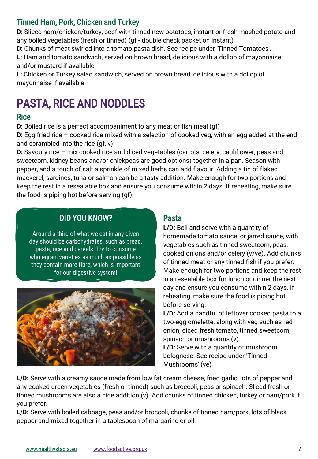### Tinned Ham, Pork, Chicken and Turkey

**D:** Sliced ham/chicken/turkey, beef with tinned new potatoes, instant or fresh mashed potato and any boiled vegetables (fresh or tinned) (gf - double check packet on instant)

**D:** Chunks of meat swirled into a tomato pasta dish. See recipe under 'Tinned Tomatoes'.

**L:** Ham and tomato sandwich, served on brown bread, delicious with a dollop of mayonnaise and/or mustard if available

**L:** Chicken or Turkey salad sandwich, served on brown bread, delicious with a dollop of mayonnaise if available

### PASTA, RICE AND NODDLES

#### **Rice**

**D:** Boiled rice is a perfect accompaniment to any meat or fish meal (qf)

**D:** Egg fried rice – cooked rice mixed with a selection of cooked veg, with an egg added at the end and scrambled into the rice (gf, v)

**D:** Savoury rice – mix cooked rice and diced vegetables (carrots, celery, cauliflower, peas and sweetcorn, kidney beans and/or chickpeas are good options) together in a pan. Season with pepper, and a touch of salt a sprinkle of mixed herbs can add flavour. Adding a tin of flaked mackerel, sardines, tuna or salmon can be a tasty addition. Make enough for two portions and keep the rest in a resealable box and ensure you consume within 2 days. If reheating, make sure the food is piping hot before serving (gf)

### DID YOU KNOW?

Around a third of what we eat in any given day should be carbohydrates, such as bread, pasta, rice and cereals. Try to consume wholegrain varieties as much as possible as they contain more fibre, which is important for our digestive system!



### Pasta

**L/D:** Boil and serve with a quantity of homemade tomato sauce, or jarred sauce, with vegetables such as tinned sweetcorn, peas, cooked onions and/or celery (v/ve). Add chunks of tinned meat or any tinned fish if you prefer. Make enough for two portions and keep the rest in a resealable box for lunch or dinner the next day and ensure you consume within 2 days. If reheating, make sure the food is piping hot before serving.

**L/D:** Add a handful of leftover cooked pasta to a two-egg omelette, along with veg such as red onion, diced fresh tomato, tinned sweetcorn, spinach or mushrooms (v).

**L/D:** Serve with a quantity of mushroom bolognese. See recipe under 'Tinned Mushrooms' (ve)

**L/D:** Serve with a creamy sauce made from low fat cream cheese, fried garlic, lots of pepper and any cooked green vegetables (fresh or tinned) such as broccoli, peas or spinach. Sliced fresh or tinned mushrooms are also a nice addition (v). Add chunks of tinned chicken, turkey or ham/pork if you prefer.

**L/D:** Serve with boiled cabbage, peas and/or broccoli, chunks of tinned ham/pork, lots of black pepper and mixed together in a tablespoon of margarine or oil.